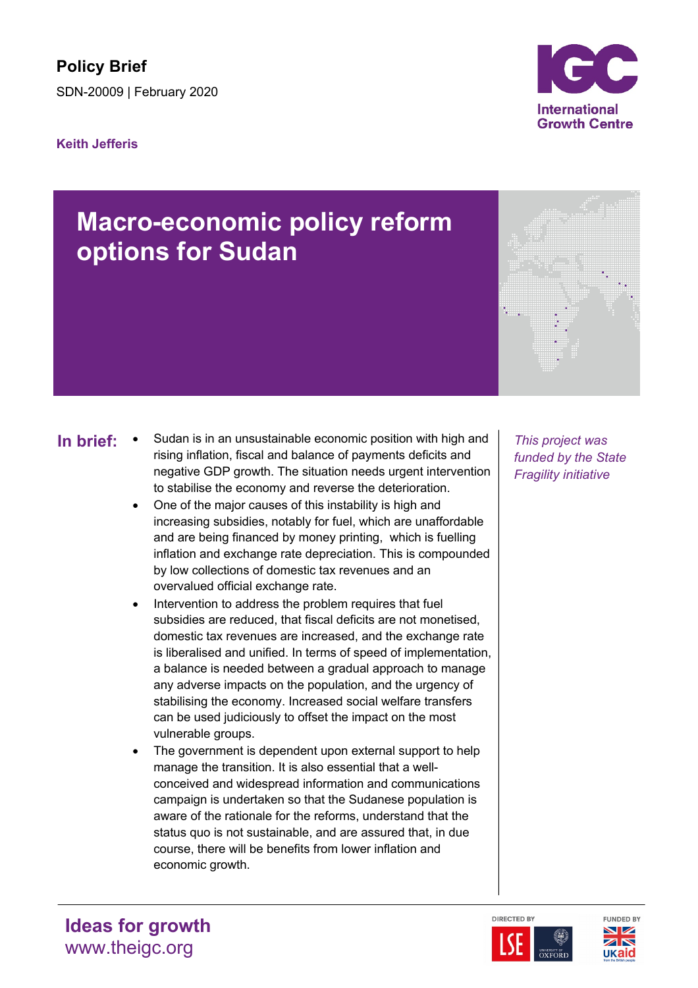## **Keith Jefferis**



- **In brief:** Sudan is in an unsustainable economic position with high and | This project was rising inflation, fiscal and balance of payments deficits and negative GDP growth. The situation needs urgent intervention to stabilise the economy and reverse the deterioration.
	- One of the major causes of this instability is high and increasing subsidies, notably for fuel, which are unaffordable and are being financed by money printing, which is fuelling inflation and exchange rate depreciation. This is compounded by low collections of domestic tax revenues and an overvalued official exchange rate.
	- Intervention to address the problem requires that fuel subsidies are reduced, that fiscal deficits are not monetised, domestic tax revenues are increased, and the exchange rate is liberalised and unified. In terms of speed of implementation, a balance is needed between a gradual approach to manage any adverse impacts on the population, and the urgency of stabilising the economy. Increased social welfare transfers can be used judiciously to offset the impact on the most vulnerable groups.
	- The government is dependent upon external support to help manage the transition. It is also essential that a wellconceived and widespread information and communications campaign is undertaken so that the Sudanese population is aware of the rationale for the reforms, understand that the status quo is not sustainable, and are assured that, in due course, there will be benefits from lower inflation and economic growth.

*funded by the State Fragility initiative*







**Ideas for growth** www.theigc.org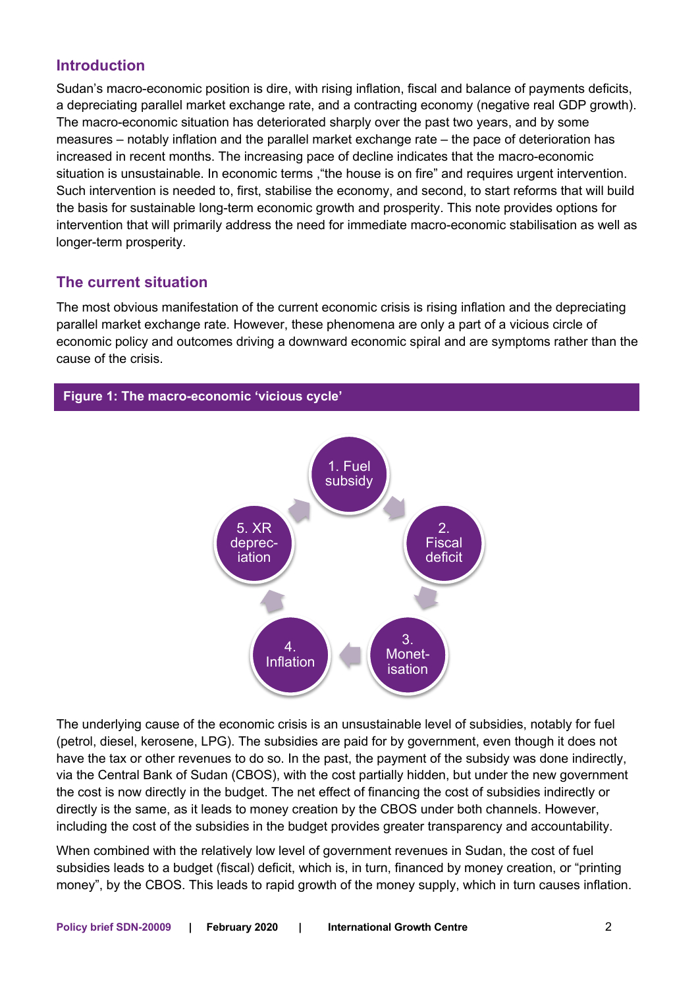# **Introduction**

Sudan's macro-economic position is dire, with rising inflation, fiscal and balance of payments deficits, a depreciating parallel market exchange rate, and a contracting economy (negative real GDP growth). The macro-economic situation has deteriorated sharply over the past two years, and by some measures – notably inflation and the parallel market exchange rate – the pace of deterioration has increased in recent months. The increasing pace of decline indicates that the macro-economic situation is unsustainable. In economic terms ,"the house is on fire" and requires urgent intervention. Such intervention is needed to, first, stabilise the economy, and second, to start reforms that will build the basis for sustainable long-term economic growth and prosperity. This note provides options for intervention that will primarily address the need for immediate macro-economic stabilisation as well as longer-term prosperity.

# **The current situation**

The most obvious manifestation of the current economic crisis is rising inflation and the depreciating parallel market exchange rate. However, these phenomena are only a part of a vicious circle of economic policy and outcomes driving a downward economic spiral and are symptoms rather than the cause of the crisis.



The underlying cause of the economic crisis is an unsustainable level of subsidies, notably for fuel (petrol, diesel, kerosene, LPG). The subsidies are paid for by government, even though it does not have the tax or other revenues to do so. In the past, the payment of the subsidy was done indirectly, via the Central Bank of Sudan (CBOS), with the cost partially hidden, but under the new government the cost is now directly in the budget. The net effect of financing the cost of subsidies indirectly or directly is the same, as it leads to money creation by the CBOS under both channels. However, including the cost of the subsidies in the budget provides greater transparency and accountability.

When combined with the relatively low level of government revenues in Sudan, the cost of fuel subsidies leads to a budget (fiscal) deficit, which is, in turn, financed by money creation, or "printing money", by the CBOS. This leads to rapid growth of the money supply, which in turn causes inflation.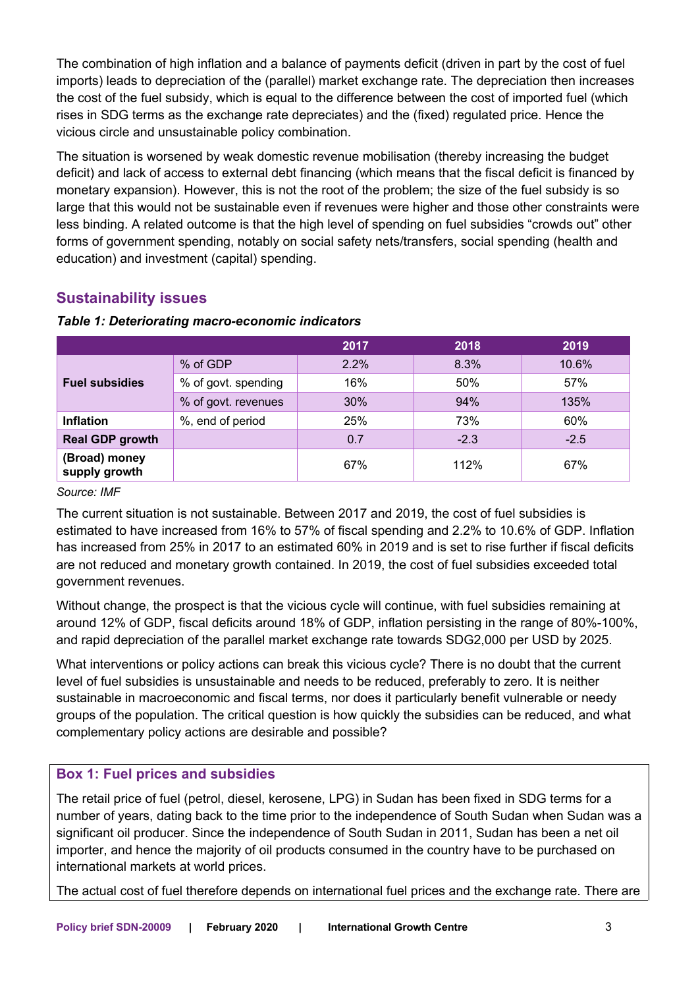The combination of high inflation and a balance of payments deficit (driven in part by the cost of fuel imports) leads to depreciation of the (parallel) market exchange rate. The depreciation then increases the cost of the fuel subsidy, which is equal to the difference between the cost of imported fuel (which rises in SDG terms as the exchange rate depreciates) and the (fixed) regulated price. Hence the vicious circle and unsustainable policy combination.

The situation is worsened by weak domestic revenue mobilisation (thereby increasing the budget deficit) and lack of access to external debt financing (which means that the fiscal deficit is financed by monetary expansion). However, this is not the root of the problem; the size of the fuel subsidy is so large that this would not be sustainable even if revenues were higher and those other constraints were less binding. A related outcome is that the high level of spending on fuel subsidies "crowds out" other forms of government spending, notably on social safety nets/transfers, social spending (health and education) and investment (capital) spending.

# **Sustainability issues**

|                                |                     | 2017 | 2018   | 2019   |
|--------------------------------|---------------------|------|--------|--------|
| <b>Fuel subsidies</b>          | % of GDP            | 2.2% | 8.3%   | 10.6%  |
|                                | % of govt. spending | 16%  | 50%    | 57%    |
|                                | % of govt. revenues | 30%  | 94%    | 135%   |
| <b>Inflation</b>               | %, end of period    | 25%  | 73%    | 60%    |
| <b>Real GDP growth</b>         |                     | 0.7  | $-2.3$ | $-2.5$ |
| (Broad) money<br>supply growth |                     | 67%  | 112%   | 67%    |

#### *Table 1: Deteriorating macro-economic indicators*

#### *Source: IMF*

The current situation is not sustainable. Between 2017 and 2019, the cost of fuel subsidies is estimated to have increased from 16% to 57% of fiscal spending and 2.2% to 10.6% of GDP. Inflation has increased from 25% in 2017 to an estimated 60% in 2019 and is set to rise further if fiscal deficits are not reduced and monetary growth contained. In 2019, the cost of fuel subsidies exceeded total government revenues.

Without change, the prospect is that the vicious cycle will continue, with fuel subsidies remaining at around 12% of GDP, fiscal deficits around 18% of GDP, inflation persisting in the range of 80%-100%, and rapid depreciation of the parallel market exchange rate towards SDG2,000 per USD by 2025.

What interventions or policy actions can break this vicious cycle? There is no doubt that the current level of fuel subsidies is unsustainable and needs to be reduced, preferably to zero. It is neither sustainable in macroeconomic and fiscal terms, nor does it particularly benefit vulnerable or needy groups of the population. The critical question is how quickly the subsidies can be reduced, and what complementary policy actions are desirable and possible?

### **Box 1: Fuel prices and subsidies**

The retail price of fuel (petrol, diesel, kerosene, LPG) in Sudan has been fixed in SDG terms for a number of years, dating back to the time prior to the independence of South Sudan when Sudan was a significant oil producer. Since the independence of South Sudan in 2011, Sudan has been a net oil importer, and hence the majority of oil products consumed in the country have to be purchased on international markets at world prices.

The actual cost of fuel therefore depends on international fuel prices and the exchange rate. There are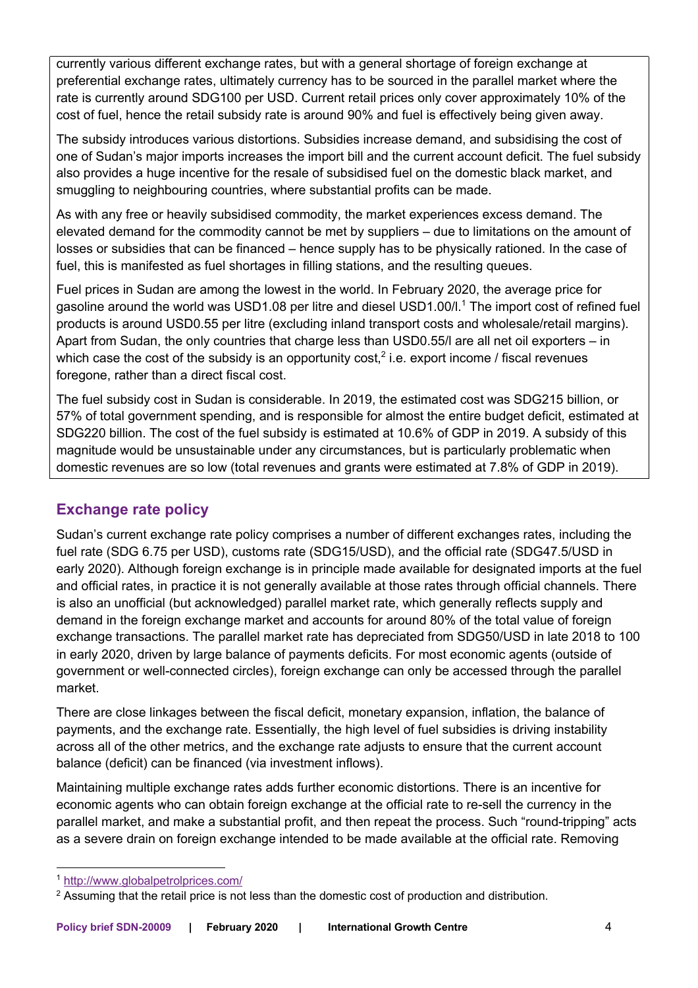currently various different exchange rates, but with a general shortage of foreign exchange at preferential exchange rates, ultimately currency has to be sourced in the parallel market where the rate is currently around SDG100 per USD. Current retail prices only cover approximately 10% of the cost of fuel, hence the retail subsidy rate is around 90% and fuel is effectively being given away.

The subsidy introduces various distortions. Subsidies increase demand, and subsidising the cost of one of Sudan's major imports increases the import bill and the current account deficit. The fuel subsidy also provides a huge incentive for the resale of subsidised fuel on the domestic black market, and smuggling to neighbouring countries, where substantial profits can be made.

As with any free or heavily subsidised commodity, the market experiences excess demand. The elevated demand for the commodity cannot be met by suppliers – due to limitations on the amount of losses or subsidies that can be financed – hence supply has to be physically rationed. In the case of fuel, this is manifested as fuel shortages in filling stations, and the resulting queues.

Fuel prices in Sudan are among the lowest in the world. In February 2020, the average price for gasoline around the world was USD1.08 per litre and diesel USD1.00/l.<sup>1</sup> The import cost of refined fuel products is around USD0.55 per litre (excluding inland transport costs and wholesale/retail margins). Apart from Sudan, the only countries that charge less than USD0.55/l are all net oil exporters – in which case the cost of the subsidy is an opportunity cost,<sup>2</sup> i.e. export income / fiscal revenues foregone, rather than a direct fiscal cost.

The fuel subsidy cost in Sudan is considerable. In 2019, the estimated cost was SDG215 billion, or 57% of total government spending, and is responsible for almost the entire budget deficit, estimated at SDG220 billion. The cost of the fuel subsidy is estimated at 10.6% of GDP in 2019. A subsidy of this magnitude would be unsustainable under any circumstances, but is particularly problematic when domestic revenues are so low (total revenues and grants were estimated at 7.8% of GDP in 2019).

## **Exchange rate policy**

Sudan's current exchange rate policy comprises a number of different exchanges rates, including the fuel rate (SDG 6.75 per USD), customs rate (SDG15/USD), and the official rate (SDG47.5/USD in early 2020). Although foreign exchange is in principle made available for designated imports at the fuel and official rates, in practice it is not generally available at those rates through official channels. There is also an unofficial (but acknowledged) parallel market rate, which generally reflects supply and demand in the foreign exchange market and accounts for around 80% of the total value of foreign exchange transactions. The parallel market rate has depreciated from SDG50/USD in late 2018 to 100 in early 2020, driven by large balance of payments deficits. For most economic agents (outside of government or well-connected circles), foreign exchange can only be accessed through the parallel market.

There are close linkages between the fiscal deficit, monetary expansion, inflation, the balance of payments, and the exchange rate. Essentially, the high level of fuel subsidies is driving instability across all of the other metrics, and the exchange rate adjusts to ensure that the current account balance (deficit) can be financed (via investment inflows).

Maintaining multiple exchange rates adds further economic distortions. There is an incentive for economic agents who can obtain foreign exchange at the official rate to re-sell the currency in the parallel market, and make a substantial profit, and then repeat the process. Such "round-tripping" acts as a severe drain on foreign exchange intended to be made available at the official rate. Removing

<sup>1</sup> http://www.globalpetrolprices.com/

 $<sup>2</sup>$  Assuming that the retail price is not less than the domestic cost of production and distribution.</sup>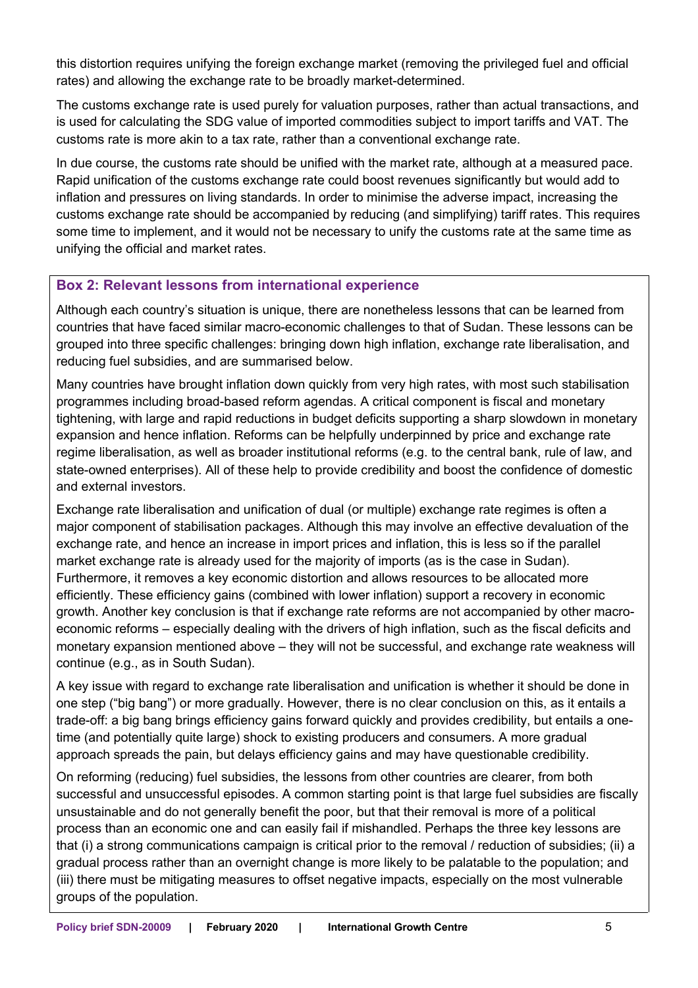this distortion requires unifying the foreign exchange market (removing the privileged fuel and official rates) and allowing the exchange rate to be broadly market-determined.

The customs exchange rate is used purely for valuation purposes, rather than actual transactions, and is used for calculating the SDG value of imported commodities subject to import tariffs and VAT. The customs rate is more akin to a tax rate, rather than a conventional exchange rate.

In due course, the customs rate should be unified with the market rate, although at a measured pace. Rapid unification of the customs exchange rate could boost revenues significantly but would add to inflation and pressures on living standards. In order to minimise the adverse impact, increasing the customs exchange rate should be accompanied by reducing (and simplifying) tariff rates. This requires some time to implement, and it would not be necessary to unify the customs rate at the same time as unifying the official and market rates.

## **Box 2: Relevant lessons from international experience**

Although each country's situation is unique, there are nonetheless lessons that can be learned from countries that have faced similar macro-economic challenges to that of Sudan. These lessons can be grouped into three specific challenges: bringing down high inflation, exchange rate liberalisation, and reducing fuel subsidies, and are summarised below.

Many countries have brought inflation down quickly from very high rates, with most such stabilisation programmes including broad-based reform agendas. A critical component is fiscal and monetary tightening, with large and rapid reductions in budget deficits supporting a sharp slowdown in monetary expansion and hence inflation. Reforms can be helpfully underpinned by price and exchange rate regime liberalisation, as well as broader institutional reforms (e.g. to the central bank, rule of law, and state-owned enterprises). All of these help to provide credibility and boost the confidence of domestic and external investors.

Exchange rate liberalisation and unification of dual (or multiple) exchange rate regimes is often a major component of stabilisation packages. Although this may involve an effective devaluation of the exchange rate, and hence an increase in import prices and inflation, this is less so if the parallel market exchange rate is already used for the majority of imports (as is the case in Sudan). Furthermore, it removes a key economic distortion and allows resources to be allocated more efficiently. These efficiency gains (combined with lower inflation) support a recovery in economic growth. Another key conclusion is that if exchange rate reforms are not accompanied by other macroeconomic reforms – especially dealing with the drivers of high inflation, such as the fiscal deficits and monetary expansion mentioned above – they will not be successful, and exchange rate weakness will continue (e.g., as in South Sudan).

A key issue with regard to exchange rate liberalisation and unification is whether it should be done in one step ("big bang") or more gradually. However, there is no clear conclusion on this, as it entails a trade-off: a big bang brings efficiency gains forward quickly and provides credibility, but entails a onetime (and potentially quite large) shock to existing producers and consumers. A more gradual approach spreads the pain, but delays efficiency gains and may have questionable credibility.

On reforming (reducing) fuel subsidies, the lessons from other countries are clearer, from both successful and unsuccessful episodes. A common starting point is that large fuel subsidies are fiscally unsustainable and do not generally benefit the poor, but that their removal is more of a political process than an economic one and can easily fail if mishandled. Perhaps the three key lessons are that (i) a strong communications campaign is critical prior to the removal / reduction of subsidies; (ii) a gradual process rather than an overnight change is more likely to be palatable to the population; and (iii) there must be mitigating measures to offset negative impacts, especially on the most vulnerable groups of the population.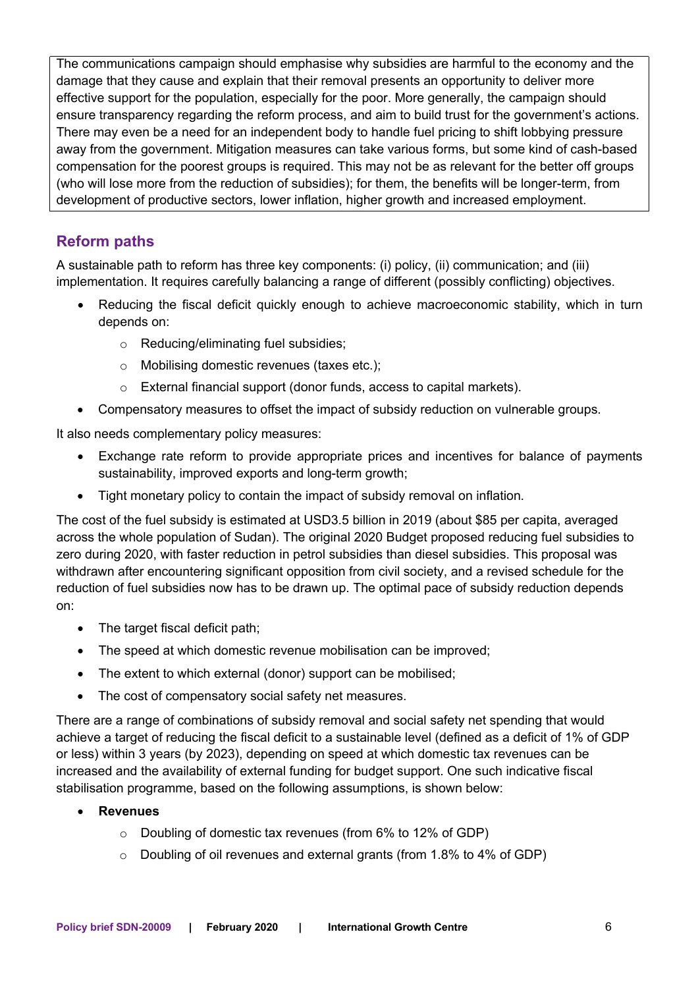The communications campaign should emphasise why subsidies are harmful to the economy and the damage that they cause and explain that their removal presents an opportunity to deliver more effective support for the population, especially for the poor. More generally, the campaign should ensure transparency regarding the reform process, and aim to build trust for the government's actions. There may even be a need for an independent body to handle fuel pricing to shift lobbying pressure away from the government. Mitigation measures can take various forms, but some kind of cash-based compensation for the poorest groups is required. This may not be as relevant for the better off groups (who will lose more from the reduction of subsidies); for them, the benefits will be longer-term, from development of productive sectors, lower inflation, higher growth and increased employment.

# **Reform paths**

A sustainable path to reform has three key components: (i) policy, (ii) communication; and (iii) implementation. It requires carefully balancing a range of different (possibly conflicting) objectives.

- Reducing the fiscal deficit quickly enough to achieve macroeconomic stability, which in turn depends on:
	- o Reducing/eliminating fuel subsidies;
	- o Mobilising domestic revenues (taxes etc.);
	- o External financial support (donor funds, access to capital markets).
- Compensatory measures to offset the impact of subsidy reduction on vulnerable groups.

It also needs complementary policy measures:

- Exchange rate reform to provide appropriate prices and incentives for balance of payments sustainability, improved exports and long-term growth;
- Tight monetary policy to contain the impact of subsidy removal on inflation.

The cost of the fuel subsidy is estimated at USD3.5 billion in 2019 (about \$85 per capita, averaged across the whole population of Sudan). The original 2020 Budget proposed reducing fuel subsidies to zero during 2020, with faster reduction in petrol subsidies than diesel subsidies. This proposal was withdrawn after encountering significant opposition from civil society, and a revised schedule for the reduction of fuel subsidies now has to be drawn up. The optimal pace of subsidy reduction depends on:

- The target fiscal deficit path;
- The speed at which domestic revenue mobilisation can be improved;
- The extent to which external (donor) support can be mobilised;
- The cost of compensatory social safety net measures.

There are a range of combinations of subsidy removal and social safety net spending that would achieve a target of reducing the fiscal deficit to a sustainable level (defined as a deficit of 1% of GDP or less) within 3 years (by 2023), depending on speed at which domestic tax revenues can be increased and the availability of external funding for budget support. One such indicative fiscal stabilisation programme, based on the following assumptions, is shown below:

### • **Revenues**

- o Doubling of domestic tax revenues (from 6% to 12% of GDP)
- o Doubling of oil revenues and external grants (from 1.8% to 4% of GDP)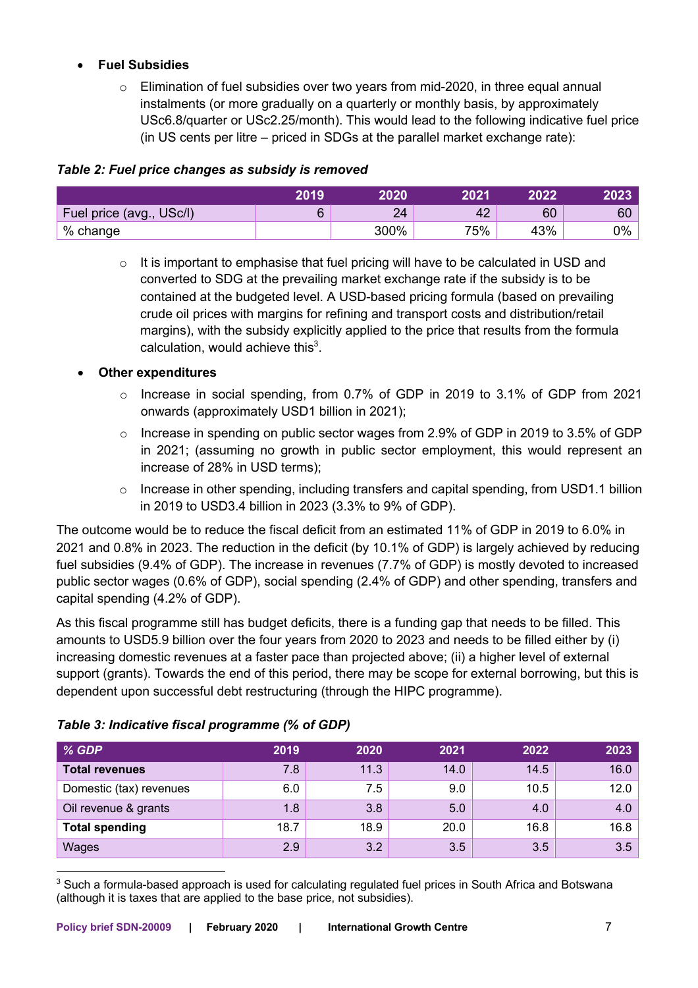## • **Fuel Subsidies**

 $\circ$  Elimination of fuel subsidies over two vears from mid-2020, in three equal annual instalments (or more gradually on a quarterly or monthly basis, by approximately USc6.8/quarter or USc2.25/month). This would lead to the following indicative fuel price (in US cents per litre – priced in SDGs at the parallel market exchange rate):

## *Table 2: Fuel price changes as subsidy is removed*

|                          | 2019 | 2020 | 2021 | 2022 | 2023 |
|--------------------------|------|------|------|------|------|
| Fuel price (avg., USc/l) |      | 24   | 42   | 60   | 60   |
| % change                 |      | 300% | 75%  | 43%  | 0%   |

o It is important to emphasise that fuel pricing will have to be calculated in USD and converted to SDG at the prevailing market exchange rate if the subsidy is to be contained at the budgeted level. A USD-based pricing formula (based on prevailing crude oil prices with margins for refining and transport costs and distribution/retail margins), with the subsidy explicitly applied to the price that results from the formula calculation, would achieve this $3$ .

## • **Other expenditures**

- o Increase in social spending, from 0.7% of GDP in 2019 to 3.1% of GDP from 2021 onwards (approximately USD1 billion in 2021);
- $\circ$  Increase in spending on public sector wages from 2.9% of GDP in 2019 to 3.5% of GDP in 2021; (assuming no growth in public sector employment, this would represent an increase of 28% in USD terms);
- o Increase in other spending, including transfers and capital spending, from USD1.1 billion in 2019 to USD3.4 billion in 2023 (3.3% to 9% of GDP).

The outcome would be to reduce the fiscal deficit from an estimated 11% of GDP in 2019 to 6.0% in 2021 and 0.8% in 2023. The reduction in the deficit (by 10.1% of GDP) is largely achieved by reducing fuel subsidies (9.4% of GDP). The increase in revenues (7.7% of GDP) is mostly devoted to increased public sector wages (0.6% of GDP), social spending (2.4% of GDP) and other spending, transfers and capital spending (4.2% of GDP).

As this fiscal programme still has budget deficits, there is a funding gap that needs to be filled. This amounts to USD5.9 billion over the four years from 2020 to 2023 and needs to be filled either by (i) increasing domestic revenues at a faster pace than projected above; (ii) a higher level of external support (grants). Towards the end of this period, there may be scope for external borrowing, but this is dependent upon successful debt restructuring (through the HIPC programme).

| % GDP                   | 2019 | 2020 | 2021 | 2022 | 2023 |
|-------------------------|------|------|------|------|------|
| <b>Total revenues</b>   | 7.8  | 11.3 | 14.0 | 14.5 | 16.0 |
| Domestic (tax) revenues | 6.0  | 7.5  | 9.0  | 10.5 | 12.0 |
| Oil revenue & grants    | 1.8  | 3.8  | 5.0  | 4.0  | 4.0  |
| <b>Total spending</b>   | 18.7 | 18.9 | 20.0 | 16.8 | 16.8 |
| Wages                   | 2.9  | 3.2  | 3.5  | 3.5  | 3.5  |

## *Table 3: Indicative fiscal programme (% of GDP)*

<sup>&</sup>lt;sup>3</sup> Such a formula-based approach is used for calculating regulated fuel prices in South Africa and Botswana (although it is taxes that are applied to the base price, not subsidies).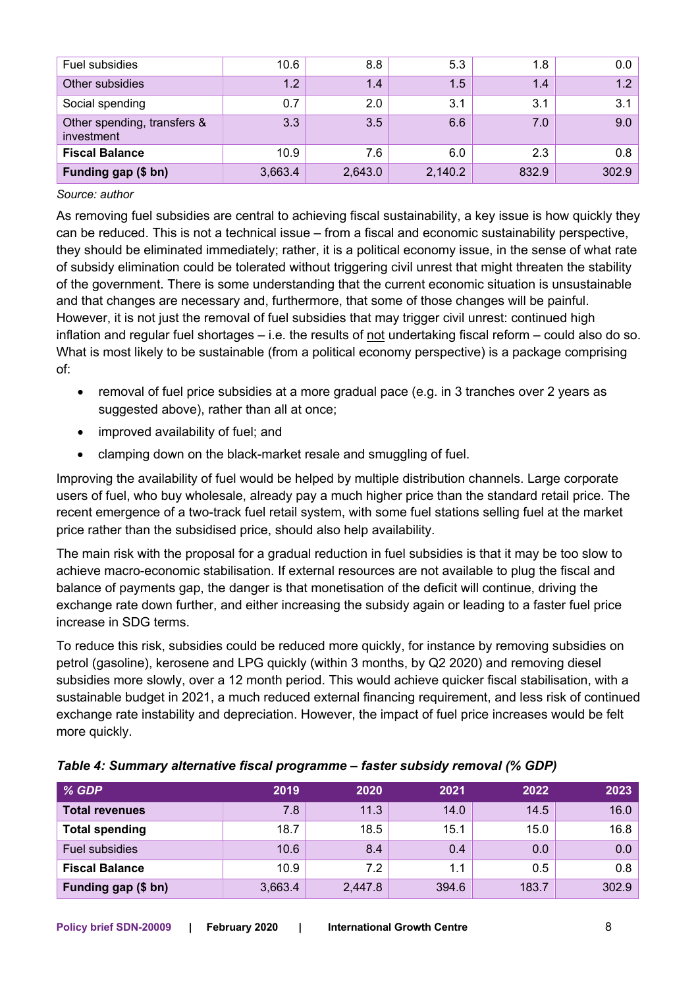| Fuel subsidies                            | 10.6    | 8.8     | 5.3     | 1.8   | 0.0   |
|-------------------------------------------|---------|---------|---------|-------|-------|
| Other subsidies                           | 1.2     | 1.4     | 1.5     | 1.4   | 1.2   |
| Social spending                           | 0.7     | 2.0     | 3.1     | 3.1   | 3.1   |
| Other spending, transfers &<br>investment | 3.3     | 3.5     | 6.6     | 7.0   | 9.0   |
| <b>Fiscal Balance</b>                     | 10.9    | 7.6     | 6.0     | 2.3   | 0.8   |
| Funding gap (\$ bn)                       | 3,663.4 | 2,643.0 | 2,140.2 | 832.9 | 302.9 |

#### *Source: author*

As removing fuel subsidies are central to achieving fiscal sustainability, a key issue is how quickly they can be reduced. This is not a technical issue – from a fiscal and economic sustainability perspective, they should be eliminated immediately; rather, it is a political economy issue, in the sense of what rate of subsidy elimination could be tolerated without triggering civil unrest that might threaten the stability of the government. There is some understanding that the current economic situation is unsustainable and that changes are necessary and, furthermore, that some of those changes will be painful. However, it is not just the removal of fuel subsidies that may trigger civil unrest: continued high inflation and regular fuel shortages  $-$  i.e. the results of not undertaking fiscal reform  $-$  could also do so. What is most likely to be sustainable (from a political economy perspective) is a package comprising of:

- removal of fuel price subsidies at a more gradual pace (e.g. in 3 tranches over 2 years as suggested above), rather than all at once;
- improved availability of fuel; and
- clamping down on the black-market resale and smuggling of fuel.

Improving the availability of fuel would be helped by multiple distribution channels. Large corporate users of fuel, who buy wholesale, already pay a much higher price than the standard retail price. The recent emergence of a two-track fuel retail system, with some fuel stations selling fuel at the market price rather than the subsidised price, should also help availability.

The main risk with the proposal for a gradual reduction in fuel subsidies is that it may be too slow to achieve macro-economic stabilisation. If external resources are not available to plug the fiscal and balance of payments gap, the danger is that monetisation of the deficit will continue, driving the exchange rate down further, and either increasing the subsidy again or leading to a faster fuel price increase in SDG terms.

To reduce this risk, subsidies could be reduced more quickly, for instance by removing subsidies on petrol (gasoline), kerosene and LPG quickly (within 3 months, by Q2 2020) and removing diesel subsidies more slowly, over a 12 month period. This would achieve quicker fiscal stabilisation, with a sustainable budget in 2021, a much reduced external financing requirement, and less risk of continued exchange rate instability and depreciation. However, the impact of fuel price increases would be felt more quickly.

| % GDP                 | 2019    | 2020    | 2021  | 2022  | 2023  |
|-----------------------|---------|---------|-------|-------|-------|
| <b>Total revenues</b> | 7.8     | 11.3    | 14.0  | 14.5  | 16.0  |
| <b>Total spending</b> | 18.7    | 18.5    | 15.1  | 15.0  | 16.8  |
| Fuel subsidies        | 10.6    | 8.4     | 0.4   | 0.0   | 0.0   |
| <b>Fiscal Balance</b> | 10.9    | 7.2     | 1.1   | 0.5   | 0.8   |
| Funding gap (\$ bn)   | 3,663.4 | 2,447.8 | 394.6 | 183.7 | 302.9 |

| Table 4: Summary alternative fiscal programme - faster subsidy removal (% GDP) |  |  |  |
|--------------------------------------------------------------------------------|--|--|--|
|                                                                                |  |  |  |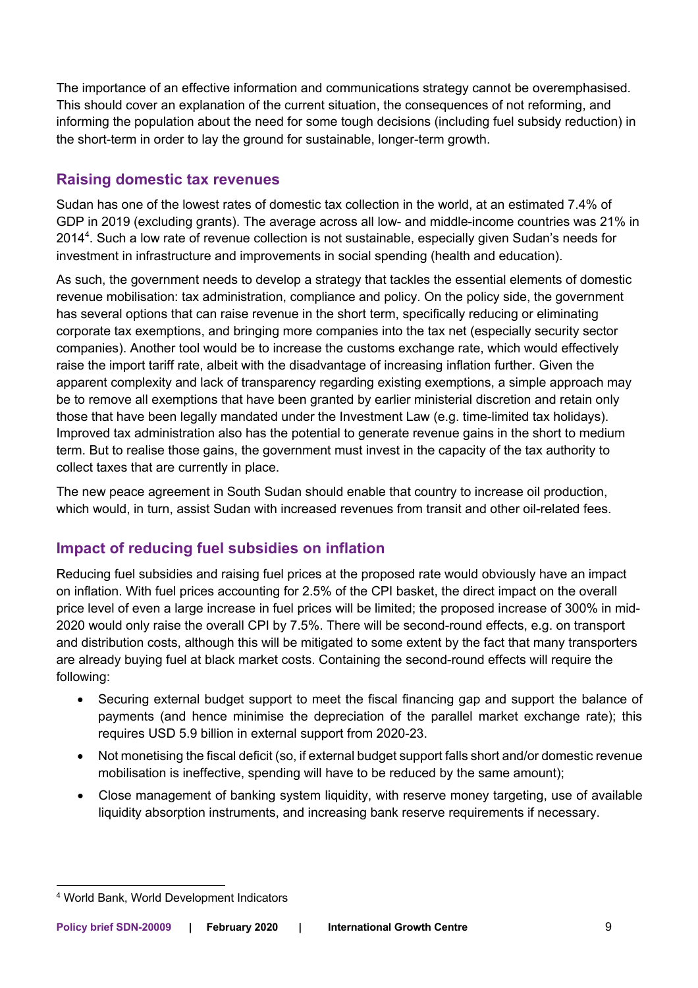The importance of an effective information and communications strategy cannot be overemphasised. This should cover an explanation of the current situation, the consequences of not reforming, and informing the population about the need for some tough decisions (including fuel subsidy reduction) in the short-term in order to lay the ground for sustainable, longer-term growth.

# **Raising domestic tax revenues**

Sudan has one of the lowest rates of domestic tax collection in the world, at an estimated 7.4% of GDP in 2019 (excluding grants). The average across all low- and middle-income countries was 21% in 2014<sup>4</sup>. Such a low rate of revenue collection is not sustainable, especially given Sudan's needs for investment in infrastructure and improvements in social spending (health and education).

As such, the government needs to develop a strategy that tackles the essential elements of domestic revenue mobilisation: tax administration, compliance and policy. On the policy side, the government has several options that can raise revenue in the short term, specifically reducing or eliminating corporate tax exemptions, and bringing more companies into the tax net (especially security sector companies). Another tool would be to increase the customs exchange rate, which would effectively raise the import tariff rate, albeit with the disadvantage of increasing inflation further. Given the apparent complexity and lack of transparency regarding existing exemptions, a simple approach may be to remove all exemptions that have been granted by earlier ministerial discretion and retain only those that have been legally mandated under the Investment Law (e.g. time-limited tax holidays). Improved tax administration also has the potential to generate revenue gains in the short to medium term. But to realise those gains, the government must invest in the capacity of the tax authority to collect taxes that are currently in place.

The new peace agreement in South Sudan should enable that country to increase oil production, which would, in turn, assist Sudan with increased revenues from transit and other oil-related fees.

# **Impact of reducing fuel subsidies on inflation**

Reducing fuel subsidies and raising fuel prices at the proposed rate would obviously have an impact on inflation. With fuel prices accounting for 2.5% of the CPI basket, the direct impact on the overall price level of even a large increase in fuel prices will be limited; the proposed increase of 300% in mid-2020 would only raise the overall CPI by 7.5%. There will be second-round effects, e.g. on transport and distribution costs, although this will be mitigated to some extent by the fact that many transporters are already buying fuel at black market costs. Containing the second-round effects will require the following:

- Securing external budget support to meet the fiscal financing gap and support the balance of payments (and hence minimise the depreciation of the parallel market exchange rate); this requires USD 5.9 billion in external support from 2020-23.
- Not monetising the fiscal deficit (so, if external budget support falls short and/or domestic revenue mobilisation is ineffective, spending will have to be reduced by the same amount);
- Close management of banking system liquidity, with reserve money targeting, use of available liquidity absorption instruments, and increasing bank reserve requirements if necessary.

<sup>4</sup> World Bank, World Development Indicators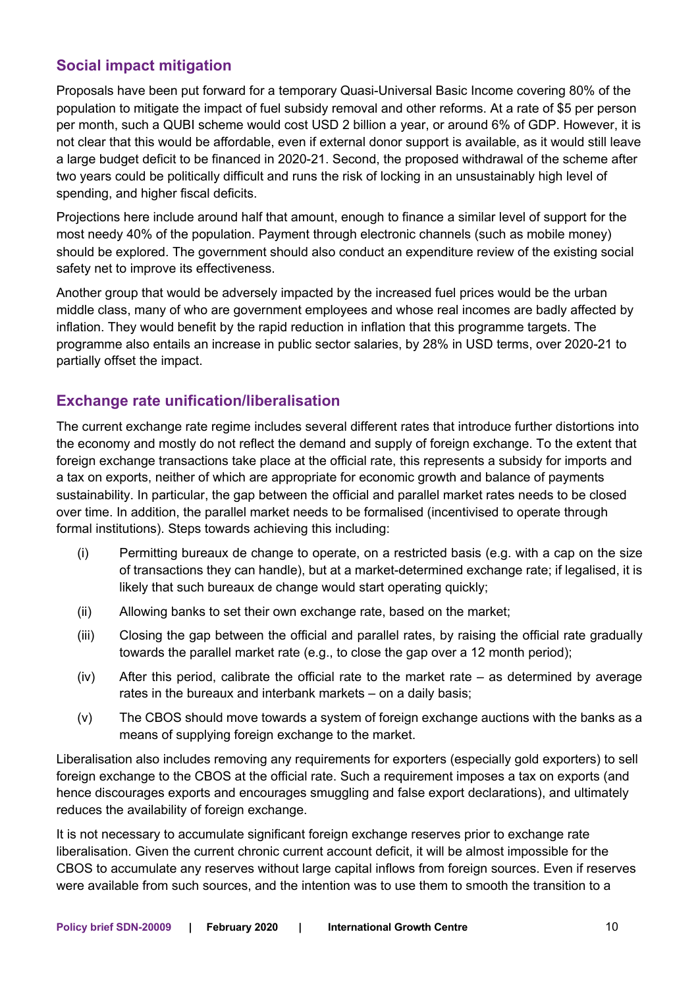# **Social impact mitigation**

Proposals have been put forward for a temporary Quasi-Universal Basic Income covering 80% of the population to mitigate the impact of fuel subsidy removal and other reforms. At a rate of \$5 per person per month, such a QUBI scheme would cost USD 2 billion a year, or around 6% of GDP. However, it is not clear that this would be affordable, even if external donor support is available, as it would still leave a large budget deficit to be financed in 2020-21. Second, the proposed withdrawal of the scheme after two years could be politically difficult and runs the risk of locking in an unsustainably high level of spending, and higher fiscal deficits.

Projections here include around half that amount, enough to finance a similar level of support for the most needy 40% of the population. Payment through electronic channels (such as mobile money) should be explored. The government should also conduct an expenditure review of the existing social safety net to improve its effectiveness.

Another group that would be adversely impacted by the increased fuel prices would be the urban middle class, many of who are government employees and whose real incomes are badly affected by inflation. They would benefit by the rapid reduction in inflation that this programme targets. The programme also entails an increase in public sector salaries, by 28% in USD terms, over 2020-21 to partially offset the impact.

# **Exchange rate unification/liberalisation**

The current exchange rate regime includes several different rates that introduce further distortions into the economy and mostly do not reflect the demand and supply of foreign exchange. To the extent that foreign exchange transactions take place at the official rate, this represents a subsidy for imports and a tax on exports, neither of which are appropriate for economic growth and balance of payments sustainability. In particular, the gap between the official and parallel market rates needs to be closed over time. In addition, the parallel market needs to be formalised (incentivised to operate through formal institutions). Steps towards achieving this including:

- (i) Permitting bureaux de change to operate, on a restricted basis (e.g. with a cap on the size of transactions they can handle), but at a market-determined exchange rate; if legalised, it is likely that such bureaux de change would start operating quickly;
- (ii) Allowing banks to set their own exchange rate, based on the market;
- (iii) Closing the gap between the official and parallel rates, by raising the official rate gradually towards the parallel market rate (e.g., to close the gap over a 12 month period);
- $(iv)$  After this period, calibrate the official rate to the market rate as determined by average rates in the bureaux and interbank markets – on a daily basis;
- (v) The CBOS should move towards a system of foreign exchange auctions with the banks as a means of supplying foreign exchange to the market.

Liberalisation also includes removing any requirements for exporters (especially gold exporters) to sell foreign exchange to the CBOS at the official rate. Such a requirement imposes a tax on exports (and hence discourages exports and encourages smuggling and false export declarations), and ultimately reduces the availability of foreign exchange.

It is not necessary to accumulate significant foreign exchange reserves prior to exchange rate liberalisation. Given the current chronic current account deficit, it will be almost impossible for the CBOS to accumulate any reserves without large capital inflows from foreign sources. Even if reserves were available from such sources, and the intention was to use them to smooth the transition to a